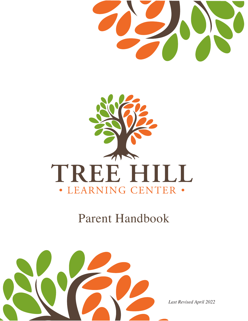



# Parent Handbook

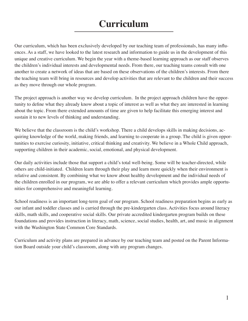## **Curriculum**

Our curriculum, which has been exclusively developed by our teaching team of professionals, has many influences. As a staff, we have looked to the latest research and information to guide us in the development of this unique and creative curriculum. We begin the year with a theme-based learning approach as our staff observes the children's individual interests and developmental needs. From there, our teaching teams consult with one another to create a network of ideas that are based on these observations of the children's interests. From there the teaching team will bring in resources and develop activities that are relevant to the children and their success as they move through our whole program.

The project approach is another way we develop curriculum. In the project approach children have the opportunity to define what they already know about a topic of interest as well as what they are interested in learning about the topic. From there extended amounts of time are given to help facilitate this emerging interest and sustain it to new levels of thinking and understanding.

We believe that the classroom is the child's workshop. There a child develops skills in making decisions, acquiring knowledge of the world, making friends, and learning to cooperate in a group. The child is given opportunities to exercise curiosity, initiative, critical thinking and creativity. We believe in a Whole Child approach, supporting children in their academic, social, emotional, and physical development.

Our daily activities include those that support a child's total well-being. Some will be teacher-directed, while others are child-initiated. Children learn through their play and learn more quickly when their environment is relative and consistent. By combining what we know about healthy development and the individual needs of the children enrolled in our program, we are able to offer a relevant curriculum which provides ample opportunities for comprehensive and meaningful learning.

School readiness is an important long-term goal of our program. School readiness preparation begins as early as our infant and toddler classes and is carried through the pre-kindergarten class. Activities focus around literacy skills, math skills, and cooperative social skills. Our private accredited kindergarten program builds on these foundations and provides instruction in literacy, math, science, social studies, health, art, and music in alignment with the Washington State Common Core Standards.

Curriculum and activity plans are prepared in advance by our teaching team and posted on the Parent Information Board outside your child's classroom, along with any program changes.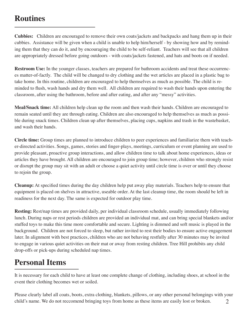### **Routines**

**Cubbies:** Children are encouraged to remove their own coats/jackets and backpacks and hang them up in their cubbies. Assistance will be given when a child is unable to help him/herself - by showing how and by reminding them that they can do it, and by encouraging the child to be self-reliant. Teachers will see that all children are appropriately dressed before going outdoors - with coats/jackets fastened, and hats and boots on if needed.

**Restroom Use:** In the younger classes, teachers are prepared for bathroom accidents and treat these occurrences matter-of-factly. The child will be changed to dry clothing and the wet articles are placed in a plastic bag to take home. In this routine, children are encouraged to help themselves as much as possible. The child is reminded to flush, wash hands and dry them well. All children are required to wash their hands upon entering the classroom, after using the bathroom, before and after eating, and after any "messy" activities.

**Meal/Snack time:** All children help clean up the room and then wash their hands. Children are encouraged to remain seated until they are through eating. Children are also encouraged to help themselves as much as possible during snack times. Children clean up after themselves, placing cups, napkins and trash in the wastebasket, and wash their hands.

**Circle time:** Group times are planned to introduce children to peer experiences and familiarize them with teacher-directed activities. Songs, games, stories and finger-plays, meetings, curriculum or event planning are used to provide pleasant, proactive group interactions, and allow children time to talk about home experiences, ideas or articles they have brought. All children are encouraged to join group time; however, children who strongly resist or disrupt the group may sit with an adult or choose a quiet activity until circle time is over or until they choose to rejoin the group.

**Cleanup:** At specified times during the day children help put away play materials. Teachers help to ensure that equipment is placed on shelves in attractive, useable order. At the last cleanup time, the room should be left in readiness for the next day. The same is expected for outdoor play time.

**Resting:** Rest/nap times are provided daily, per individual classroom schedule, usually immediately following lunch. During naps or rest periods children are provided an individual mat, and can bring special blankets and/or stuffed toys to make this time more comfortable and secure. Lighting is dimmed and soft music is played in the background. Children are not forced to sleep, but rather invited to rest their bodies to ensure active engagement later. In alignment with best practices, children who are not behaving restfully after 30 minutes may be invited to engage in various quiet activities on their mat or away from resting children. Tree Hill prohibits any child drop-offs or pick-ups during scheduled nap times.

### **Personal Items**

It is necessary for each child to have at least one complete change of clothing, including shoes, at school in the event their clothing becomes wet or soiled.

2 Please clearly label all coats, boots, extra clothing, blankets, pillows, or any other personal belongings with your child's name. We do not reccomend bringing toys from home as these items are easily lost or broken.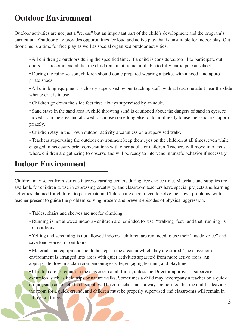### **Outdoor Environment**

Outdoor activities are not just a "recess" but an important part of the child's development and the program's curriculum. Outdoor play provides opportunities for loud and active play that is unsuitable for indoor play. Outdoor time is a time for free play as well as special organized outdoor activities.

- All children go outdoors during the specified time. If a child is considered too ill to participate out doors, it is recommended that the child remain at home until able to fully participate at school.
- During the rainy season; children should come prepared wearing a jacket with a hood, and appropriate shoes.
- All climbing equipment is closely supervised by our teaching staff, with at least one adult near the slide whenever it is in use.
- Children go down the slide feet first, always supervised by an adult.
- Sand stays in the sand area. A child throwing sand is cautioned about the dangers of sand in eyes, re moved from the area and allowed to choose something else to do until ready to use the sand area appro priately.
- Children stay in their own outdoor activity area unless on a supervised walk.
- Teachers supervising the outdoor environment keep their eyes on the children at all times, even while engaged in necessary brief conversations with other adults or children. Teachers will move into areas where children are gathering to observe and will be ready to intervene in unsafe behavior if necessary.

#### **Indoor Environment**

Children may select from various interest/learning centers during free choice time. Materials and supplies are available for children to use in expressing creativity, and classroom teachers have special projects and learning activities planned for children to participate in. Children are encouraged to solve their own problems, with a teacher present to guide the problem-solving process and prevent episodes of physical aggression.

- Tables, chairs and shelves are not for climbing.
- Running is not allowed indoors children are reminded to use "walking feet" and that running is for outdoors.
- Yelling and screaming is not allowed indoors children are reminded to use their "inside voice" and save loud voices for outdoors.
- Materials and equipment should be kept in the areas in which they are stored. The classroom environment is arranged into areas with quiet activities separated from more active areas. An appropriate flow in a classroom encourages safe, engaging learning and playtime.
- Children are to remain in the classroom at all times, unless the Director approves a supervised excursion, such as field trips or nature walks. Sometimes a child may accompany a teacher on a quick errand, such as to help fetch supplies. The co-teacher must always be notified that the child is leaving the room for a quick errand, and children must be properly supervised and classrooms will remain in ratio at all times.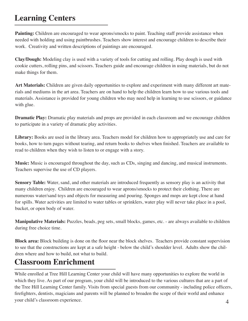## **Learning Centers**

Painting: Children are encouraged to wear aprons/smocks to paint. Teaching staff provide assistance when needed with holding and using paintbrushes. Teachers show interest and encourage children to describe their work. Creativity and written descriptions of paintings are encouraged.

**Clay/Dough:** Modeling clay is used with a variety of tools for cutting and rolling. Play dough is used with cookie cutters, rolling pins, and scissors. Teachers guide and encourage children in using materials, but do not make things for them.

**Art Materials:** Children are given daily opportunities to explore and experiment with many different art materials and mediums in the art area. Teachers are on hand to help the children learn how to use various tools and materials. Assistance is provided for young children who may need help in learning to use scissors, or guidance with glue.

**Dramatic Play:** Dramatic play materials and props are provided in each classroom and we encourage children to participate in a variety of dramatic play activities.

**Library:** Books are used in the library area. Teachers model for children how to appropriately use and care for books, how to turn pages without tearing, and return books to shelves when finished. Teachers are available to read to children when they wish to listen to or engage with a story.

**Music:** Music is encouraged throughout the day, such as CDs, singing and dancing, and musical instruments. Teachers supervise the use of CD players.

**Sensory Table:** Water, sand, and other materials are introduced frequently as sensory play is an activity that many children enjoy. Children are encouraged to wear aprons/smocks to protect their clothing. There are numerous water/sand toys and objects for measuring and pouring. Sponges and mops are kept close at hand for spills. Water activities are limited to water tables or sprinklers, water play will never take place in a pool, bucket, or open body of water.

**Manipulative Materials:** Puzzles, beads, peg sets, small blocks, games, etc. - are always available to children during free choice time.

**Block area:** Block building is done on the floor near the block shelves. Teachers provide constant supervision to see that the constructions are kept at a safe height - below the child's shoulder level. Adults show the children where and how to build, not what to build.

### **Classroom Enrichment**

While enrolled at Tree Hill Learning Center your child will have many opportunities to explore the world in which they live. As part of our program, your child will be introduced to the various cultures that are a part of the Tree Hill Learning Center family. Visits from special guests from our community - including police officers, firefighters, dentists, magicians and parents will be planned to broaden the scope of their world and enhance your child's classroom experience. 4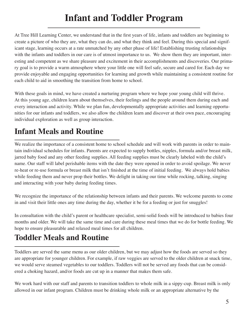## **Infant and Toddler Program**

At Tree Hill Learning Center, we understand that in the first years of life, infants and toddlers are beginning to create a picture of who they are, what they can do, and what they think and feel. During this special and significant stage, learning occurs at a rate unmatched by any other phase of life! Establishing trusting relationships with the infants and toddlers in our care is of utmost importance to us. We show them they are important, interesting and competent as we share pleasure and excitement in their accomplishments and discoveries. Our primary goal is to provide a warm atmosphere where your little one will feel safe, secure and cared for. Each day we provide enjoyable and engaging opportunities for learning and growth while maintaining a consistent routine for each child to aid in smoothing the transition from home to school.

With these goals in mind, we have created a nurturing program where we hope your young child will thrive. At this young age, children learn about themselves, their feelings and the people around them during each and every interaction and activity. While we plan fun, developmentally appropriate activities and learning opportunities for our infants and toddlers, we also allow the children learn and discover at their own pace, encouraging individual exploration as well as group interaction.

## **Infant Meals and Routine**

We realize the importance of a consistent home to school schedule and will work with parents in order to maintain individual schedules for infants. Parents are expected to supply bottles, nipples, formula and/or breast milk, jarred baby food and any other feeding supplies. All feeding supplies must be clearly labeled with the child's name. Our staff will label perishable items with the date they were opened in order to avoid spoilage. We never re-heat or re-use formula or breast milk that isn't finished at the time of initial feeding. We always hold babies while feeding them and never prop their bottles. We delight in taking our time while rocking, talking, singing and interacting with your baby during feeding times.

We recognize the importance of the relationship between infants and their parents. We welcome parents to come in and visit their little ones any time during the day, whether it be for a feeding or just for snuggles!

In consultation with the child's parent or healthcare specialist, semi-solid foods will be introduced to babies four months and older. We will take the same time and care during these meal times that we do for bottle feeding. We hope to ensure pleasurable and relaxed meal times for all children.

## **Toddler Meals and Routine**

Toddlers are served the same menu as our older children, but we may adjust how the foods are served so they are appropriate for younger children. For example, if raw veggies are served to the older children at snack time, we would serve steamed vegetables to our toddlers. Toddlers will not be served any foods that can be considered a choking hazard, and/or foods are cut up in a manner that makes them safe.

We work hard with our staff and parents to transition toddlers to whole milk in a sippy-cup. Breast milk is only allowed in our infant program. Children must be drinking whole milk or an appropriate alternative by the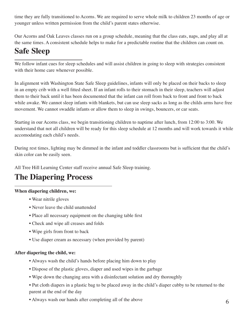time they are fully transitioned to Acorns. We are required to serve whole milk to children 23 months of age or younger unless written permission from the child's parent states otherwise.

Our Acorns and Oak Leaves classes run on a group schedule, meaning that the class eats, naps, and play all at the same times. A consistent schedule helps to make for a predictable routine that the children can count on.

## **Safe Sleep**

We follow infant cues for sleep schedules and will assist children in going to sleep with strategies consistent with their home care whenever possible.

In alignment with Washington State Safe Sleep guidelines, infants will only be placed on their backs to sleep in an empty crib with a well fitted sheet. If an infant rolls to their stomach in their sleep, teachers will adjust them to their back until it has been documented that the infant can roll from back to front and front to back while awake. We cannot sleep infants with blankets, but can use sleep sacks as long as the childs arms have free movement. We cannot swaddle infants or allow them to sleep in swings, bouncers, or car seats.

Starting in our Acorns class, we begin transitioning children to naptime after lunch, from 12:00 to 3:00. We understand that not all children will be ready for this sleep schedule at 12 months and will work towards it while accomodating each child's needs.

During rest times, lighting may be dimmed in the infant and toddler classrooms but is sufficient that the child's skin color can be easily seen.

All Tree Hill Learning Center staff receive annual Safe Sleep training.

## **The Diapering Process**

#### **When diapering children, we:**

- Wear nitrile gloves
- Never leave the child unattended
- Place all necessary equipment on the changing table first
- Check and wipe all creases and folds
- Wipe girls from front to back
- Use diaper cream as necessary (when provided by parent)

#### **After diapering the child, we:**

- Always wash the child's hands before placing him down to play
- Dispose of the plastic gloves, diaper and used wipes in the garbage
- Wipe down the changing area with a disinfectant solution and dry thoroughly
- Put cloth diapers in a plastic bag to be placed away in the child's diaper cubby to be returned to the parent at the end of the day
- Always wash our hands after completing all of the above 6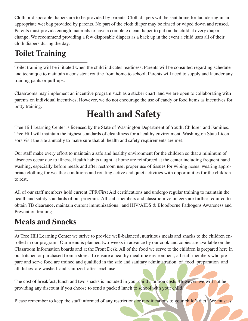Cloth or disposable diapers are to be provided by parents. Cloth diapers will be sent home for laundering in an appropriate wet bag provided by parents. No part of the cloth diaper may be rinsed or wiped down and reused. Parents must provide enough materials to have a complete clean diaper to put on the child at every diaper change. We recommend providing a few disposable diapers as a back up in the event a child uses all of their cloth diapers during the day.

### **Toilet Training**

Toilet training will be initiated when the child indicates readiness. Parents will be consulted regarding schedule and technique to maintain a consistent routine from home to school. Parents will need to supply and launder any training pants or pull-ups.

Classrooms may implement an incentive program such as a sticker chart, and we are open to collaborating with parents on individual incentives. However, we do not encourage the use of candy or food items as incentives for potty training.

## **Health and Safety**

Tree Hill Learning Center is licensed by the State of Washington Department of Youth, Children and Families. Tree Hill will maintain the highest standards of cleanliness for a healthy environment. Washington State Licensors visit the site annually to make sure that all health and safety requirements are met.

Our staff make every effort to maintain a safe and healthy environment for the children so that a minimum of absences occur due to illness. Health habits taught at home are reinforced at the center including frequent hand washing, especially before meals and after restroom use, proper use of tissues for wiping noses, wearing appropriate clothing for weather conditions and rotating active and quiet activities with opportunities for the children to rest.

All of our staff members hold current CPR/First Aid certifications and undergo regular training to maintain the health and safety standards of our program. All staff members and classroom volunteers are further required to obtain TB clearance, maintain current immunizations, and HIV/AIDS & Bloodborne Pathogens Awareness and Prevention training.

## **Meals and Snacks**

At Tree Hill Learning Center we strive to provide well-balanced, nutritious meals and snacks to the children enrolled in our program. Our menu is planned two-weeks in advance by our cook and copies are available on the Classroom Information boards and at the Front Desk. All of the food we serve to the children is prepared here in our kitchen or purchased from a store. To ensure a healthy mealtime environment, all staff members who prepare and serve food are trained and qualified in the safe and sanitary administration of food preparation and all dishes are washed and sanitized after each use.

The cost of breakfast, lunch and two snacks is included in your child's tuition costs. However, we will not be providing any discount if you choose to send a packed lunch to school with your child.

Please remember to keep the staff informed of any restrictions or modifications to your child's diet. We must 7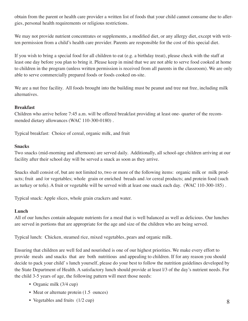obtain from the parent or health care provider a written list of foods that your child cannot consume due to allergies, personal health requirements or religious restrictions.

We may not provide nutrient concentrates or supplements, a modified diet, or any allergy diet, except with written permission from a child's health care provider. Parents are responsible for the cost of this special diet.

If you wish to bring a special food for all children to eat (e.g. a birthday treat), please check with the staff at least one day before you plan to bring it. Please keep in mind that we are not able to serve food cooked at home to children in the program (unless written permission is received from all parents in the classroom). We are only able to serve commercially prepared foods or foods cooked on-site.

We are a nut free facility. All foods brought into the building must be peanut and tree nut free, including milk alternatives.

#### **Breakfast**

Children who arrive before 7:45 a.m. will be offered breakfast providing at least one- quarter of the recommended dietary allowances (WAC 110-300-0180) .

Typical breakfast: Choice of cereal, organic milk, and fruit

#### **Snacks**

Two snacks (mid-morning and afternoon) are served daily. Additionally, all school-age children arriving at our facility after their school day will be served a snack as soon as they arrive.

Snacks shall consist of, but are not limited to, two or more of the following items: organic milk or milk products; fruit and /or vegetables; whole grain or enriched breads and /or cereal products; and protein food (such as turkey or tofu). A fruit or vegetable will be served with at least one snack each day. (WAC 110-300-185) .

Typical snack: Apple slices, whole grain crackers and water.

#### **Lunch**

All of our lunches contain adequate nutrients for a meal that is well balanced as well as delicious. Our lunches are served in portions that are appropriate for the age and size of the children who are being served.

Typical lunch: Chicken, steamed rice, mixed vegetables, pears and organic milk.

Ensuring that children are well fed and nourished is one of our highest priorities. We make every effort to provide meals and snacks that are both nutritious and appealing to children. If for any reason you should decide to pack your child' s lunch yourself, please do your best to follow the nutrition guidelines developed by the State Department of Health. A satisfactory lunch should provide at least l/3 of the day's nutrient needs. For the child 3-5 years of age, the following pattern will meet those needs:

- Organic milk (3/4 cup)
- Meat or alternate protein (1.5 ounces)
- Vegetables and fruits  $(1/2 \text{ cup})$  8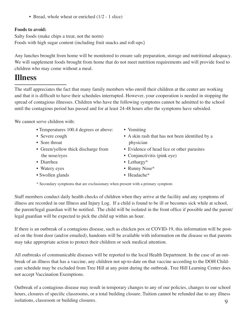• Bread, whole wheat or enriched (1/2 - 1 slice)

#### **Foods to avoid:**

Salty foods (make chips a treat, not the norm) Foods with high sugar content (including fruit snacks and roll-ups}

Any lunches brought from home will be monitored to ensure safe preparation, storage and nutritional adequacy. We will supplement foods brought from home that do not meet nutrition requirements and will provide food to children who may come without a meal.

#### **Illness**

The staff appreciates the fact that many family members who enroll their children at the center are working and that it is difficult to have their schedules interrupted. However, your cooperation is needed in stopping the spread of contagious illnesses. Children who have the following symptoms cannot be admitted to the school until the contagious period has passed and for at least 24-48 hours after the symptoms have subsided.

We cannot serve children with:

- Temperatures 100.4 degrees or above:
- Severe cough
- Sore throat
- Green/yellow thick discharge from the nose/eyes
- Diarrhea
- Watery eyes
- Swollen glands
- Vomiting
- A skin rash that has not been identified by a physician
- Evidence of head lice or other parasites
- Conjunctivitis (pink eye)
- Lethargy\*
- Runny Nose\*
- Headache\*

\* Secondary symptoms that are exclusionary when present with a primary symptom

Staff members conduct daily health checks of children when they arrive at the facility and any symptoms of illness are recorded in our Illness and Injury Log. If a child is found to be ill or becomes sick while at school, the parent/legal guardian will be notified. The child will be isolated in the front office if possible and the parent/ legal guardian will be expected to pick the child up within an hour.

If there is an outbreak of a contagious disease, such as chicken pox or COVID-19, this information will be posted on the front door (and/or emailed), handouts will be available with information on the disease so that parents may take appropriate action to protect their children or seek medical attention.

All outbreaks of communicable diseases will be reported to the local Health Department. In the case of an outbreak of an illness that has a vaccine, any children not up-to-date on that vaccine according to the DOH Childcare schedule may be excluded from Tree Hill at any point during the outbreak. Tree Hill Learning Center does not accept Vaccination Exemptions.

9 Outbreak of a contagious disease may result in temporary changes to any of our policies, changes to our school hours, closures of specific classrooms, or a total building closure. Tuition cannot be refunded due to any illness isolations, classroom or building closures.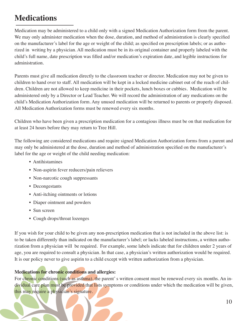## **Medications**

Medication may be administered to a child only with a signed Medication Authorization form from the parent. We may only administer medication when the dose, duration, and method of administration is clearly specified on the manufacturer's label for the age or weight of the child; as specified on prescription labels; or as authorized in writing by a physician. All medication must be in its original container and properly labeled with the child's full name, date prescription was filled and/or medication's expiration date, and legible instructions for administration.

Parents must give all medication directly to the classroom teacher or director. Medication may not be given to children to hand over to staff. All medication will be kept in a locked medicine cabinet out of the reach of children. Children are not allowed to keep medicine in their pockets, lunch boxes or cubbies. Medication will be administered only by a Director or Lead Teacher. We will record the administration of any medications on the child's Medication Authorization form. Any unused medication will be returned to parents or properly disposed. All Medication Authorization forms must be renewed every six months.

Children who have been given a prescription medication for a contagious illness must be on that medication for at least 24 hours before they may return to Tree Hill.

The following are considered medications and require signed Medication Authorization forms from a parent and may only be administered at the dose, duration and method of administration specified on the manufacturer's label for the age or weight of the child needing medication:

- Antihistamines
- Non-aspirin fever reducers/pain relievers
- Non-narcotic cough suppressants
- Decongestants
- Anti-itching ointments or lotions
- Diaper ointment and powders
- Sun screen
- Cough drops/throat lozenges

If you wish for your child to be given any non-prescription medication that is not included in the above list: is to be taken differently than indicated on the manufacturer's label; or lacks labeled instructions, a written authorization from a physician will be required. For example, some labels indicate that for children under 2 years of age, you are required to consult a physician. In that case, a physician's written authorization would be required. It is our policy never to give aspirin to a child except with written authorization from a physician.

#### **Medications for chronic conditions and allergies:**

For chronic conditions (such as asthma), the parent's written consent must be renewed every six months. An individual care plan must be provided that lists symptoms or conditions under which the medication will be given, this may require a physician's signature.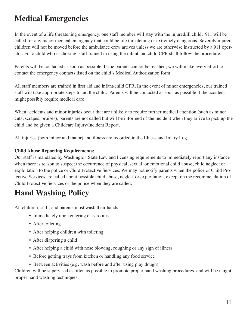## **Medical Emergencies**

In the event of a life threatening emergency, one staff member will stay with the injured/ill child. 911 will be called for any major medical emergency that could be life threatening or extremely dangerous. Severely injured children will not be moved before the ambulance crew arrives unless we are otherwise instructed by a 911 operator. For a child who is choking, staff trained in using the infant and child CPR shall follow the procedure.

Parents will be contacted as soon as possible. If the parents cannot be reached, we will make every effort to contact the emergency contacts listed on the child's Medical Authorization form.

All staff members are trained in first aid and infant/child CPR. In the event of minor emergencies, our trained staff will take appropriate steps to aid the child. Parents will be contacted as soon as possible if the accident might possibly require medical care.

When accidents and minor injuries occur that are unlikely to require further medical attention (such as minor cuts, scrapes, bruises), parents are not called but will be informed of the incident when they arrive to pick up the child and be given a Childcare Injury/Incident Report.

All injuries (both minor and major) and illness are recorded in the Illness and Injury Log.

#### **Child Abuse Reporting Requirements:**

Our staff is mandated by Washington State Law and licensing requirements to immediately report any instance when there is reason to suspect the occurrence of physical, sexual, or emotional child abuse, child neglect or exploitation to the police or Child Protective Services. We may not notify parents when the police or Child Protective Services are called about possible child abuse, neglect or exploitation, except on the recommendation of Child Protective Services or the police when they are called.

### **Hand Washing Policy**

All children, staff, and parents must wash their hands:

- Immediately upon entering classrooms
- After toileting
- After helping children with toileting
- After diapering a child
- After helping a child with nose blowing, coughing or any sign of illness
- Before getting trays from kitchen or handling any food service
- Between activities (e.g. wash before and after using play dough)

Children will be supervised as often as possible to promote proper hand washing procedures, and will be taught proper hand washing techniques.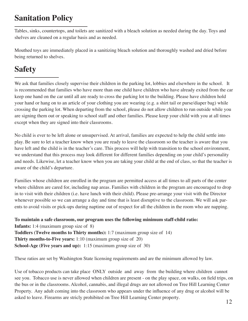## **Sanitation Policy**

Tables, sinks, countertops, and toilets are sanitized with a bleach solution as needed during the day. Toys and shelves are cleaned on a regular basis and as needed.

Mouthed toys are immediately placed in a sanitizing bleach solution and thoroughly washed and dried before being returned to shelves.

## **Safety**

We ask that families closely supervise their children in the parking lot, lobbies and elsewhere in the school. It is recommended that families who have more than one child have children who have already exited from the car keep one hand on the car until all are ready to cross the parking lot to the building. Please have children hold your hand or hang on to an article of your clothing you are wearing (e.g. a shirt tail or purse/diaper bag) while crossing the parking lot. When departing from the school, please do not allow children to run outside while you are signing them out or speaking to school staff and other families. Please keep your child with you at all times except when they are signed into their classrooms.

No child is ever to be left alone or unsupervised. At arrival, families are expected to help the child settle into play. Be sure to let a teacher know when you are ready to leave the classroom so the teacher is aware that you have left and the child is in the teacher's care. This process will help with transition to the school environment, we understand that this process may look different for different families depending on your child's personality and needs. Likewise, let a teacher know when you are taking your child at the end of class, so that the teacher is aware of the child's departure.

Families whose children are enrolled in the program are permitted access at all times to all parts of the center where children are cared for, including nap areas. Families with children in the program are encouraged to drop in to visit with their children (i.e. have lunch with their child). Please pre-arrange your visit with the Director whenever possible so we can arrange a day and time that is least disruptive to the classroom. We will ask parents to avoid visits or pick-ups during naptime out of respect for all the children in the room who are napping.

**To maintain a safe classroom, our program uses the following minimum staff-child ratio: Infants:** 1:4 (maximum group size of 8) **Toddlers (Twelve months to Thirty months):** 1:7 (maximum group size of 14) **Thirty months-to-Five years:** 1:10 (maximum group size of 20) **School-Age (Five years and up):** 1:15 (maximum group size of 30)

These ratios are set by Washington State licensing requirements and are the minimum allowed by law.

Use of tobacco products can take place ONLY outside and away from the building where children cannot see you. Tobacco use is never allowed when children are present - on the play space, on walks, on field trips, on the bus or in the classrooms. Alcohol, cannabis, and illegal drugs are not allowed on Tree Hill Learning Center Property. Any adult coming into the classroom who appears under the influence of any drug or alcohol will be asked to leave. Firearms are stricly prohibited on Tree Hill Learning Center property.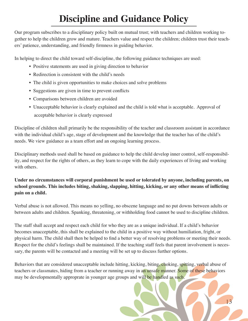# **Discipline and Guidance Policy**

Our program subscribes to a disciplinary policy built on mutual trust; with teachers and children working together to help the children grow and mature. Teachers value and respect the children; children trust their teachers' patience, understanding, and friendly firmness in guiding behavior.

In helping to direct the child toward self-discipline, the following guidance techniques are used:

- Positive statements are used in giving direction to behavior
- Redirection is consistent with the child's needs
- The child is given opportunities to make choices and solve problems
- Suggestions are given in time to prevent conflicts
- Comparisons between children are avoided
- Unacceptable behavior is clearly explained and the child is told what is acceptable. Approval of acceptable behavior is clearly expressed

Discipline of children shall primarily be the responsibility of the teacher and classroom assistant in accordance with the individual child's age, stage of development and the knowledge that the teacher has of the child's needs. We view guidance as a team effort and an ongoing learning process.

Disciplinary methods used shall be based on guidance to help the child develop inner control, self-responsibility, and respect for the rights of others, as they learn to cope with the daily experiences of living and working with others.

#### **Under no circumstances will corporal punishment be used or tolerated by anyone, including parents, on school grounds. This includes biting, shaking, slapping, hitting, kicking, or any other means of inflicting pain on a child.**

Verbal abuse is not allowed. This means no yelling, no obscene language and no put downs between adults or between adults and children. Spanking, threatening, or withholding food cannot be used to discipline children.

The staff shall accept and respect each child for who they are as a unique individual. If a child's behavior becomes unacceptable, this shall be explained to the child in a positive way without humiliation, fright, or physical harm. The child shall then be helped to find a better way of resolving problems or meeting their needs. Respect for the child's feelings shall be maintained. If the teaching staff feels that parent involvement is necessary, the parents will be contacted and a meeting will be set up to discuss further options.

Behaviors that are considered unacceptable include hitting, kicking, biting, choking, spitting, verbal abuse of teachers or classmates, hiding from a teacher or running away in an unsafe manner. Some of these behaviors may be developmentally approprate in younger age groups and will be handled as such.

13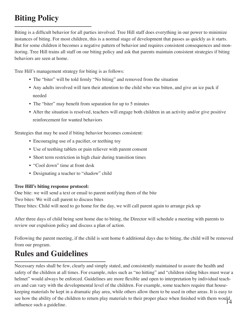## **Biting Policy**

Biting is a difficult behavior for all parties involved. Tree Hill staff does everything in our power to minimize instances of biting. For most children, this is a normal stage of development that passes as quickly as it starts. But for some children it becomes a negative pattern of behavior and requires consistent consequences and monitoring. Tree Hill trains all staff on our biting policy and ask that parents maintain consistent strategies if biting behaviors are seen at home.

Tree Hill's management strategy for biting is as follows:

- The "biter" will be told firmly "No biting" and removed from the situation
- Any adults involved will turn their attention to the child who was bitten, and give an ice pack if needed
- The "biter" may benefit from separation for up to 5 minutes
- After the situation is resolved, teachers will engage both children in an activity and/or give positive reinforcement for wanted behaviors

Strategies that may be used if biting behavior becomes consistent:

- Encouraging use of a pacifier, or teething toy
- Use of teething tablets or pain reliever with parent consent
- Short term restriction in high chair during transition times
- "Cool down" time at front desk
- Designating a teacher to "shadow" child

#### **Tree Hill's biting response protocol:**

One bite: we will send a text or email to parent notifying them of the bite Two bites: We will call parent to discuss bites Three bites: Child will need to go home for the day, we will call parent again to arrange pick up

After three days of child being sent home due to biting, the Director will schedule a meeting with parents to review our expulsion policy and discuss a plan of action.

Following the parent meeting, if the child is sent home 6 additional days due to biting, the child will be removed from our program.

## **Rules and Guidelines**

see how the ability of the children to return play materials to their proper place when finished with them would<br>14 Necessary rules shall be few, clearly and simply stated, and consistently maintained to assure the health and safety of the children at all times. For example, rules such as "no hitting" and "children riding bikes must wear a helmet" would always be enforced. Guidelines are more flexible and open to interpretation by individual teachers and can vary with the developmental level of the children. For example, some teachers require that housekeeping materials be kept in a dramatic play area, while others allow them to be used in other areas. It is easy to influence such a guideline.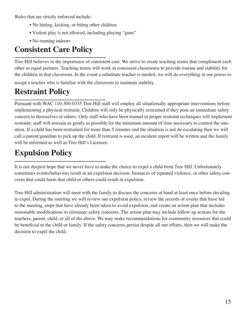Rules that are strictly enforced include:

- No hitting, kicking, or biting other children
- Violent play is not allowed, including playing "guns"
- No running indoors

## **Consistent Care Policy**

Tree Hill believes in the importance of consistent care. We strive to create teaching teams that compliment each other as equal partners. Teaching teams will work in consistent classrooms to provide routine and stability for the children in that classroom. In the event a substitute teacher is needed, we will do everything in our power to assign a teacher who is familiar with the classroom to maintain stability.

## **Restraint Policy**

Pursuant with WAC 110-300-0335 Tree Hill staff will employ all situationally appropriate interventions before implementing a physical restraint. Children will only be physically restrained if they pose an immediate safety concern to themselves or others. Only staff who have been trained in proper restraint techniques will implement restraint; staff will restrain as gently as possible for the minimum amount of time necessary to control the situation. If a child has been restrained for more than 5 minutes and the situation is not de-escalating then we will call a parent/guardian to pick up the child. If restraint is used, an incident report will be written and the family will be informed as well as Tree Hill's Licensor.

## **Expulsion Policy**

It is our deepest hope that we never have to make the choice to expel a child from Tree Hill. Unfortunately sometimes events/behaviors result in an expulsion decision. Instances of repeated violence, or other safety concerns that could harm that child or others could result in expulsion.

Tree Hill administration will meet with the family to discuss the concerns at hand at least once before deciding to expel. During the meeting we will review our expulsion policy, review the records of events that have led to the meeting, steps that have already been taken to avoid expulsion, and create an action plan that includes reasonable modifications to eliminate safety concerns. The action plan may include follow up actions for the teachers, parent, child, or all of the above. We may make recommendations for community resources that could be beneficial to the child or family. If the safety concerns persist despite all our efforts, then we will make the decision to expel the child.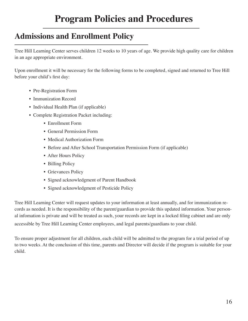## **Admissions and Enrollment Policy**

Tree Hill Learning Center serves children 12 weeks to 10 years of age. We provide high quality care for children in an age appropriate environment.

Upon enrollment it will be necessary for the following forms to be completed, signed and returned to Tree Hill before your child's first day:

- Pre-Registration Form
- Immunization Record
- Individual Health Plan (if applicable)
- Complete Registration Packet including:
	- Enrollment Form
	- General Permission Form
	- Medical Authorization Form
	- Before and After School Transportation Permission Form (if applicable)
	- After Hours Policy
	- Billing Policy
	- Grievances Policy
	- Signed acknowledgment of Parent Handbook
	- Signed acknowledgment of Pesticide Policy

Tree Hill Learning Center will request updates to your information at least annually, and for immunization records as needed. It is the responsibility of the parent/guardian to provide this updated information. Your personal infomation is private and will be treated as such, your records are kept in a locked filing cabinet and are only accessible by Tree Hill Learning Center employees, and legal parents/guardians to your child.

To ensure proper adjustment for all children, each child will be admitted to the program for a trial period of up to two weeks. At the conclusion of this time, parents and Director will decide if the program is suitable for your child.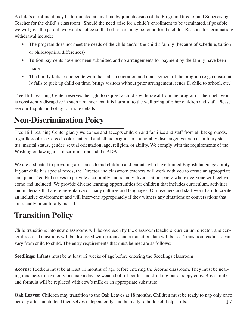A child's enrollment may be terminated at any time by joint decision of the Program Director and Supervising Teacher for the child' s classroom. Should the need arise for a child's enrollment to be terminated, if possible we will give the parent two weeks notice so that other care may be found for the child. Reasons for termination/ withdrawal include:

- The program does not meet the needs of the child and/or the child's family (because of schedule, tuition or philosophical differences)
- Tuition payments have not been submitted and no arrangements for payment by the family have been made
- The family fails to cooperate with the staff in operation and management of the program (e.g. consistently fails to pick up child on time, brings visitors without prior arrangement, sends ill child to school, etc.)

Tree Hill Learning Center reserves the right to request a child's withdrawal from the program if their behavior is consistently disruptive in such a manner that it is harmful to the well being of other children and staff. Please see our Expulsion Policy for more details.

## **Non-Discrimination Poicy**

Tree Hill Learning Center gladly welcomes and accepts children and families and staff from all backgrounds, regardless of race, creed, color, national and ethnic origin, sex, honorably discharged veteran or military status, marital status, gender, sexual orientation, age, religion, or ability. We comply with the requirements of the Washington law against discrimination and the ADA.

We are dedicated to providing assistance to aid children and parents who have limited English language ability. If your child has special needs, the Director and classroom teachers will work with you to create an appropriate care plan. Tree Hill strives to provide a culturally and racially diverse atmosphere where everyone will feel welcome and included. We provide diverse learning opportunities for children that includes curriculum, activities and materials that are representative of many cultures and languages. Our teachers and staff work hard to create an inclusive environment and will intervene appropriately if they witness any situations or conversations that are racially or culturally biased.

## **Transition Policy**

Child transitions into new classrooms will be overseen by the classroom teachers, curriculum director, and center director. Transitions will be discussed with parents and a transition date will be set. Transition readiness can vary from child to child. The entry requirements that must be met are as follows:

**Seedlings:** Infants must be at least 12 weeks of age before entering the Seedlings classroom.

**Acorns:** Toddlers must be at least 11 months of age before entering the Acorns classroom. They must be nearing readiness to have only one nap a day, be weaned off of bottles and drinking out of sippy cups. Breast milk and formula will be replaced with cow's milk or an appropriate substitute.

17 **Oak Leaves:** Children may transition to the Oak Leaves at 18 months. Children must be ready to nap only once per day after lunch, feed themselves independently, and be ready to build self help skills.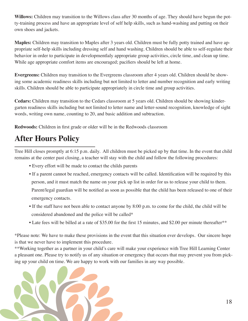**Willows:** Children may transition to the Willows class after 30 months of age. They should have begun the potty-training process and have an appropriate level of self help skills, such as hand-washing and putting on their own shoes and jackets.

**Maples:** Children may transition to Maples after 3 years old. Children must be fully potty trained and have appropriate self-help skills including dressing self and hand washing. Children should be able to self-regulate their behavior in order to participate in developmentlaly appropriate group activities, circle time, and clean up time. While age appropriate comfort items are encouraged; pacifiers should be left at home.

**Evergreens:** Children may transition to the Evergreens classroom after 4 years old. Children should be showing some academic readiness skills including but not limited to letter and number recognition and early writing skills. Children should be able to participate appropriately in circle time and group activities.

**Cedars:** Children may transition to the Cedars classroom at 5 years old. Children should be showing kindergarten readiness skills including but not limited to letter name and letter-sound recognition, knowledge of sight words, writing own name, counting to 20, and basic addition and subtraction.

**Redwoods:** Children in first grade or older will be in the Redwoods classroom

## **After Hours Policy**

Tree Hill closes promptly at 6:15 p.m. daily. All children must be picked up by that time. In the event that child remains at the center past closing, a teacher will stay with the child and follow the following procedures:

- Every effort will be made to contact the childs parents
- If a parent cannot be reached, emergency contacts will be called. Identification will be required by this person, and it must match the name on your pick up list in order for us to release your child to them. Parent/legal guardian will be notified as soon as possible that the child has been released to one of their

emergency contacts.

- If the staff have not been able to contact anyone by 8:00 p.m. to come for the child, the child will be considered abandoned and the police will be called\*
- Late fees will be billed at a rate of \$35.00 for the first 15 minutes, and \$2.00 per minute thereafter\*\*

\*Please note: We have to make these provisions in the event that this situation ever develops. Our sincere hope is that we never have to implement this procedure.

\*\*Working together as a partner in your child's care will make your experience with Tree Hill Learning Center a pleasant one. Please try to notify us of any situation or emergency that occurs that may prevent you from picking up your child on time. We are happy to work with our families in any way possible.

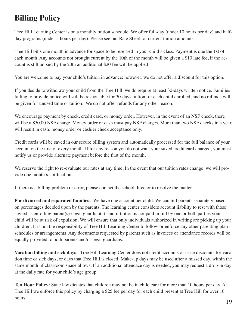## **Billing Policy**

Tree Hill Learning Center is on a monthly tuition schedule. We offer full-day (under 10 hours per day) and halfday programs (under 5 hours per day). Please see our Rate Sheet for current tuition amounts.

Tree Hill bills one month in advance for space to be reserved in your child's class. Payment is due the 1st of each month. Any accounts not brought current by the 10th of the month will be given a \$10 late fee, if the account is still unpaid by the 20th an additional \$20 fee will be applied.

You are welcome to pay your child's tuition in advance; however, we do not offer a discount for this option.

If you decide to withdraw your child from the Tree Hill, we do require at least 30-days written notice. Families failing to provide notice will still be responsible for 30-days tuition for each child enrolled, and no refunds will be given for unused time or tuition. We do not offer refunds for any other reason.

We encourage payment by check, credit card, or money order. However, in the event of an NSF check, there will be a \$50.00 NSF charge. Money order or cash must pay NSF charges. More than two NSF checks in a year will result in cash, money order or cashier check acceptance only.

Credit cards will be saved in our secure billing system and automatically processed for the full balance of your account on the first of every month. If for any reason you do not want your saved credit card charged, you must notify us or provide alternate payment before the first of the month.

We reserve the right to re-evaluate our rates at any time. In the event that our tuition rates change, we will provide one month's notification.

If there is a billing problem or error, please contact the school director to resolve the matter.

**For divorced and separated families:** We have one account per child. We can bill parents separately based on percentages decided upon by the parents. The learning center considers account liability to rest with those signed as enrolling parent(s) /legal guardian(s), and if tuition is not paid in full by one or both parties your child will be at risk of expulsion. We will ensure that only individuals authorized in writing are picking up your children. It is not the responsibility of Tree Hill Learning Center to follow or enforce any other parenting plan schedules or arrangements. Any documents requested by parents such as invoices or attendance records will be equally provided to both parents and/or legal guardians.

**Vacation billing and sick days:** Tree Hill Learning Center does not credit accounts or issue discounts for vacation time or sick days, or days that Tree Hill is closed. Make-up days may be used after a missed day, within the same month, if classroom space allows. If an additional attendace day is needed, you may request a drop-in day at the daily rate for your child's age group.

**Ten Hour Policy:** State law dictates that children may not be in child care for more than 10 hours per day. At Tree Hill we enforce this policy by charging a \$25 fee per day for each child present at Tree Hill for over 10 hours.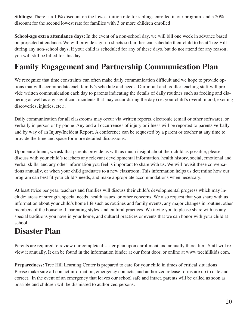**Siblings:** There is a 10% discount on the lowest tuition rate for siblings enrolled in our program, and a 20% discount for the second lowest rate for families with 3 or more children enrolled.

**School-age extra attendance days:** In the event of a non-school day, we will bill one week in advance based on projected attendance. We will provide sign-up sheets so families can schedule their child to be at Tree Hill during any non-school days. If your child is scheduled for any of these days, but do not attend for any reason, you will still be billed for this day.

### **Family Engagement and Partnership Communication Plan**

We recognize that time constraints can often make daily communication difficult and we hope to provide options that will accommodate each family's schedule and needs. Our infant and toddler teaching staff will provide written communication each day to parents indicating the details of daily routines such as feeding and diapering as well as any significant incidents that may occur during the day (i.e. your child's overall mood, exciting discoveries, injuries, etc.).

Daily communication for all classrooms may occur via written reports, electronic (email or other software), or verbally in person or by phone. Any and all occurrences of injury or illness will be reported to parents verbally and by way of an Injury/Incident Report. A conference can be requested by a parent or teacher at any time to provide the time and space for more detailed discussions.

Upon enrollment, we ask that parents provide us with as much insight about their child as possible, please discuss with your child's teachers any relevant developmental information, health history, social, emotional and verbal skills, and any other information you feel is important to share with us. We will revisit these conversations annually, or when your child graduates to a new classroom. This information helps us determine how our program can best fit your child's needs, and make appropriate accommodations when necessary.

At least twice per year, teachers and families will discuss their child's developmental progress which may include; areas of strength, special needs, health issues, or other concerns. We also request that you share with us information about your child's home life such as routines and family events, any major changes in routine, other members of the household, parenting styles, and cultural practices. We invite you to please share with us any special traditions you have in your home, and cultural practices or events that we can honor with your child at school.

### **Disaster Plan**

Parents are required to review our complete disaster plan upon enrollment and annually thereafter. Staff will review it annually. It can be found in the information binder at our front door, or online at www.treehillkids.com.

**Preparedness:** Tree Hill Learning Center is prepared to care for your child in times of critical situations. Please make sure all contact information, emergency contacts, and authorized release forms are up to date and correct. In the event of an emergency that leaves our school safe and intact, parents will be called as soon as possible and children will be dismissed to authorized persons.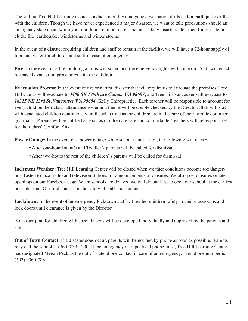The staff at Tree Hill Learning Center conducts monthly emergency evacuation drills and/or earthquake drills with the children. Though we have never experienced a major disaster, we want to take precautions should an emergency state occur while your children are in our care. The most likely disasters identified for our site include: fire, earthquake, windstorms and winter storms.

In the event of a disaster requiring children and staff to remain at the facility, we will have a 72-hour supply of food and water for children and staff in case of emergency.

**Fire:** In the event of a fire, building alarms will sound and the emergency lights will come on. Staff will enact rehearsed evacuation procedures with the children.

**Evacuation Process:** In the event of fire or natural disaster that will require us to evacuate the premises, Tree Hill Camas will evacuate to *3400 SE 196th ave Camas, WA 98607*, and Tree Hill Vancouver will evacuate to *16315 NE 23rd St, Vancouver WA 98684* (Kelly Chiropractic). Each teacher will be responsible to account for every child on their class' attendance roster and then it will be double checked by the Director. Staff will stay with evacuated children continuously until such a time as the children are in the care of their families or other guardians. Parents will be notified as soon as children are safe and comfortable. Teachers will be responsible for their class' Comfort Kits.

**Power Outage:** In the event of a power outage while school is in session, the following will occur:

- After one-hour Infant's and Toddler's parents will be called for dismissal
- After two-hours the rest of the children' s parents will be called for dismissal

**Inclement Weather:** Tree Hill Learning Center will be closed when weather conditions become too dangerous. Listen to local radio and television stations for announcements of closures. We also post closures or late openings on our Facebook page. When schools are delayed we will do our best to open our school at the earliest possible time. Our first concern is the safety of staff and students.

**Lockdown:** In the event of an emergency lockdown staff will gather children safely in their classrooms and lock doors until clearance is given by the Director.

A disaster plan for children with special needs will be developed individually and approved by the parents and staff.

**Out of Town Contact:** If a disaster does occur, parents will be notified by phone as soon as possible. Parents may call the school at (360) 833-1230. If the emergency disrupts local phone lines, Tree Hill Learning Center has designated Megan Peck as the out-of-state phone contact in case of an emergency. Her phone number is (503) 936-0788.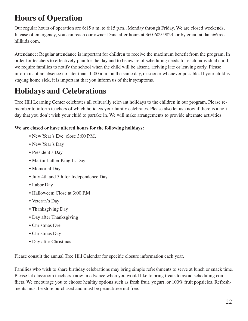## **Hours of Operation**

Our regular hours of operation are 6:15 a.m. to 6:15 p.m., Monday through Friday. We are closed weekends. In case of emergency, you can reach our owner Dana after hours at 360-609-9823, or by email at dana@treehillkids.com.

Attendance: Regular attendance is important for children to receive the maximum benefit from the program. In order for teachers to effectively plan for the day and to be aware of scheduling needs for each individual child, we require families to notify the school when the child will be absent, arriving late or leaving early. Please inform us of an absence no later than 10:00 a.m. on the same day, or sooner whenever possible. If your child is staying home sick, it is important that you inform us of their symptoms.

## **Holidays and Celebrations**

Tree Hill Learning Center celebrates all culturally relevant holidays to the children in our program. Please remember to inform teachers of which holidays your family celebrates. Please also let us know if there is a holiday that you don't wish your child to partake in. We will make arrangements to provide alternate activities.

#### **We are closed or have altered hours for the following holidays:**

- New Year's Eve: close 3:00 P.M.
- New Year's Day
- President's Day
- Martin Luther King Jr. Day
- Memorial Day
- July 4th and 5th for Independence Day
- Labor Day
- Halloween: Close at 3:00 P.M.
- Veteran's Day
- Thanksgiving Day
- Day after Thanksgiving
- Christmas Eve
- Christmas Day
- Day after Christmas

Please consult the annual Tree Hill Calendar for specific closure information each year.

Families who wish to share birthday celebrations may bring simple refreshments to serve at lunch or snack time. Please let classroom teachers know in advance when you would like to bring treats to avoid scheduling conflicts. We encourage you to choose healthy options such as fresh fruit, yogurt, or 100% fruit popsicles. Refreshments must be store purchased and must be peanut/tree nut free.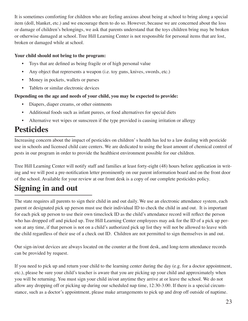It is sometimes comforting for children who are feeling anxious about being at school to bring along a special item (doll, blanket, etc.) and we encourage them to do so. However, because we are concerned about the loss or damage of children's belongings, we ask that parents understand that the toys children bring may be broken or otherwise damaged at school. Tree Hill Learning Center is not responsible for personal items that are lost, broken or damaged while at school.

#### **Your child should not bring to the program:**

- Toys that are defined as being fragile or of high personal value
- Any object that reprersents a weapon (i.e. toy guns, knives, swords, etc.)
- Money in pockets, wallets or purses
- Tablets or similar electronic devices

#### **Depending on the age and needs of your child, you may be expected to provide:**

- Diapers, diaper creams, or other ointments
- Additional foods such as infant purees, or food alternatives for special diets
- Alternative wet wipes or sunscreen if the type provided is causing irritation or allergy

### **Pesticides**

Increasing concern about the impact of pesticides on children' s health has led to a law dealing with pesticide use in schools and licensed child care centers. We are dedicated to using the least amount of chemical control of pests in our program in order to provide the healthiest environment possible for our children.

Tree Hill Learning Center will notify staff and families at least forty-eight (48) hours before application in writing and we will post a pre-notification letter prominently on our parent information board and on the front door of the school. Available for your review at our front desk is a copy of our complete pesticides policy.

## **Signing in and out**

The state requires all parents to sign their child in and out daily. We use an electronic attendance system, each parent or designated pick up person must use their individual ID to check the child in and out. It is important for each pick up person to use their own timeclock ID as the child's attendance record will reflect the person who has dropped off and picked up. Tree Hill Learning Center employees may ask for the ID of a pick up person at any time, if that person is not on a child's authorized pick up list they will not be allowed to leave with the child regardless of their use of a check out ID. Children are not permitted to sign themselves in and out.

Our sign-in/out devices are always located on the counter at the front desk, and long-term attendance records can be provided by request.

If you need to pick up and return your child to the learning center during the day (e.g. for a doctor appointment, etc.), please be sure your child's teacher is aware that you are picking up your child and approximately when you will be returning. You must sign your child in/out anytime they arrive at or leave the school. We do not allow any dropping off or picking up during our scheduled nap time, 12:30-3:00. If there is a special circumstance, such as a doctor's appointment, please make arrangements to pick up and drop off outside of naptime.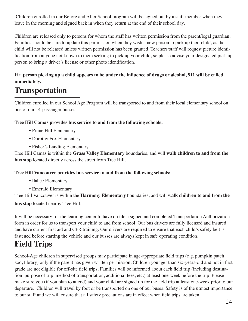Children enrolled in our Before and After School program will be signed out by a staff member when they leave in the morning and signed back in when they return at the end of their school day.

Children are released only to persons for whom the staff has written permission from the parent/legal guardian. Families should be sure to update this permission when they wish a new person to pick up their child, as the child will not be released unless written permission has been granted. Teachers/staff will request picture identification from anyone not known to them seeking to pick up your child, so please advise your designated pick-up person to bring a driver's license or other photo identification.

#### **If a person picking up a child appears to be under the influence of drugs or alcohol, 911 will be called immediately.**

### **Transportation**

Children enrolled in our School Age Program will be transported to and from their local elementary school on one of our 14-passenger busses.

#### **Tree Hill Camas provides bus service to and from the following schools:**

- Prune Hill Elementary
- Dorothy Fox Elementary
- Fisher's Landing Elementary

Tree Hill Camas is within the **Grass Valley Elementary** boundaries, and will **walk children to and from the bus stop** located directly across the street from Tree Hill.

#### **Tree Hill Vancouver provides bus service to and from the following schools:**

- Ilahee Elementary
- Emerald Elementary

Tree Hill Vancouver is within the **Harmony Elementary** boundaries, and will **walk children to and from the bus stop** located nearby Tree Hill.

It will be necessary for the learning center to have on file a signed and completed Transportation Authorization form in order for us to transport your child to and from school. Our bus drivers are fully licensed and insured and have current first aid and CPR training. Our drivers are required to ensure that each child's safety belt is fastened before starting the vehicle and our busses are always kept in safe operating condition.

## **Field Trips**

School-Age children in supervised groups may participate in age-appropriate field trips (e.g. pumpkin patch, zoo, library) only if the parent has given written permission. Children younger than six-years-old and not in first grade are not eligible for off-site field trips. Families will be informed about each field trip (including destination, purpose of trip, method of transportation, additional fees, etc.) at least one-week before the trip. Please make sure you (if you plan to attend) and your child are signed up for the field trip at least one-week prior to our departure. Children will travel by foot or be transported on one of our buses. Safety is of the utmost importance to our staff and we will ensure that all safety precautions are in effect when field trips are taken.